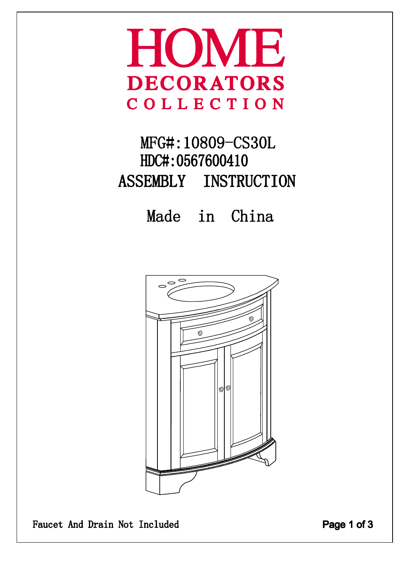## HOME **DECORATORS** COLLECTION

## MFG#:10809-CS30L HDC#: 0567600410 ASSEMBLY INSTRUCTION

Made in China



Faucet And Drain Not Included

Page 1 of 3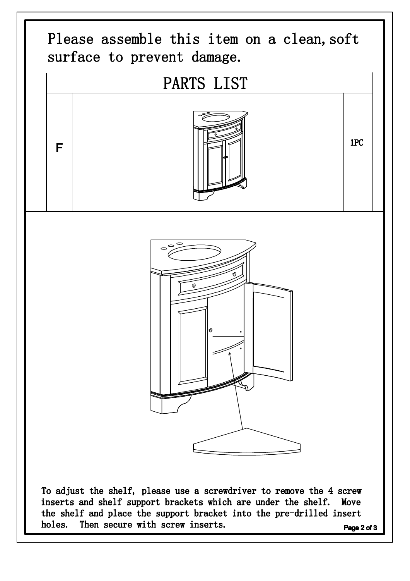